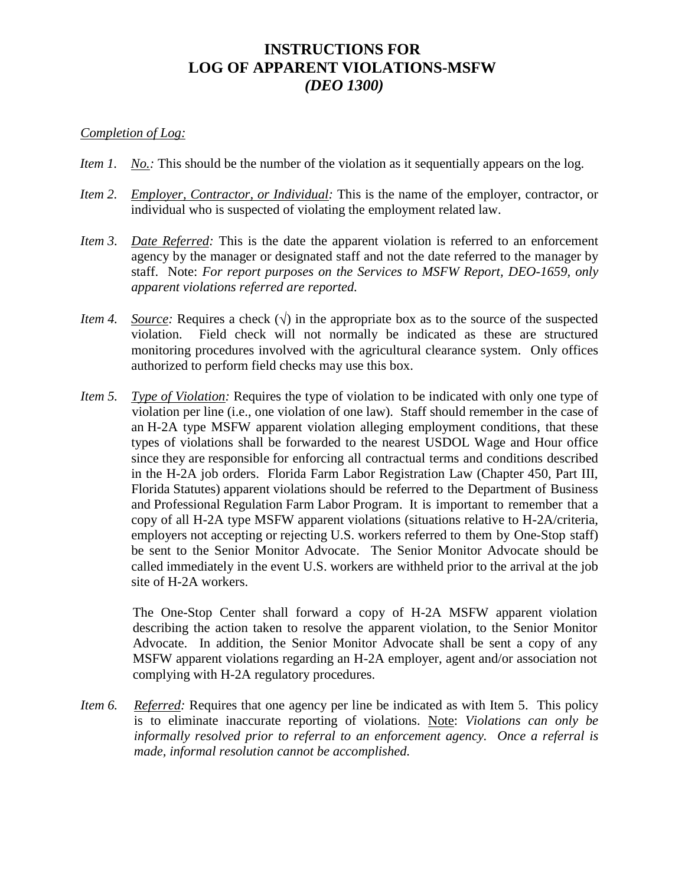## **INSTRUCTIONS FOR LOG OF APPARENT VIOLATIONS-MSFW** *(DEO 1300)*

## *Completion of Log:*

- *Item 1. No.:* This should be the number of the violation as it sequentially appears on the log.
- *Item 2. Employer, Contractor, or Individual:* This is the name of the employer, contractor, or individual who is suspected of violating the employment related law.
- *Item 3. Date Referred:* This is the date the apparent violation is referred to an enforcement agency by the manager or designated staff and not the date referred to the manager by staff. Note: *For report purposes on the Services to MSFW Report, DEO-1659, only apparent violations referred are reported.*
- *Item 4. Source:* Requires a check  $(\sqrt{})$  in the appropriate box as to the source of the suspected violation. Field check will not normally be indicated as these are structured monitoring procedures involved with the agricultural clearance system. Only offices authorized to perform field checks may use this box.
- *Item 5. Type of Violation:* Requires the type of violation to be indicated with only one type of violation per line (i.e., one violation of one law). Staff should remember in the case of an H-2A type MSFW apparent violation alleging employment conditions, that these types of violations shall be forwarded to the nearest USDOL Wage and Hour office since they are responsible for enforcing all contractual terms and conditions described in the H-2A job orders. Florida Farm Labor Registration Law (Chapter 450, Part III, Florida Statutes) apparent violations should be referred to the Department of Business and Professional Regulation Farm Labor Program. It is important to remember that a copy of all H-2A type MSFW apparent violations (situations relative to H-2A/criteria, employers not accepting or rejecting U.S. workers referred to them by One-Stop staff) be sent to the Senior Monitor Advocate. The Senior Monitor Advocate should be called immediately in the event U.S. workers are withheld prior to the arrival at the job site of H-2A workers.

The One-Stop Center shall forward a copy of H-2A MSFW apparent violation describing the action taken to resolve the apparent violation, to the Senior Monitor Advocate. In addition, the Senior Monitor Advocate shall be sent a copy of any MSFW apparent violations regarding an H-2A employer, agent and/or association not complying with H-2A regulatory procedures.

*Item 6. Referred:* Requires that one agency per line be indicated as with Item 5. This policy is to eliminate inaccurate reporting of violations. Note: *Violations can only be informally resolved prior to referral to an enforcement agency. Once a referral is made, informal resolution cannot be accomplished.*